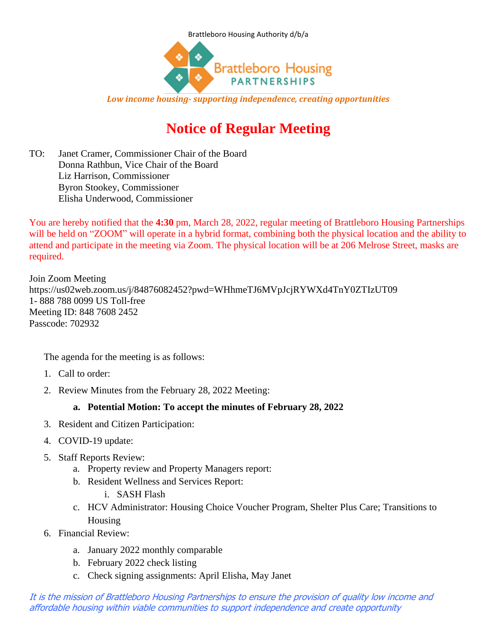



*Low income housing- supporting independence, creating opportunities*

# **Notice of Regular Meeting**

TO: Janet Cramer, Commissioner Chair of the Board Donna Rathbun, Vice Chair of the Board Liz Harrison, Commissioner Byron Stookey, Commissioner Elisha Underwood, Commissioner

You are hereby notified that the **4:30** pm, March 28, 2022, regular meeting of Brattleboro Housing Partnerships will be held on "ZOOM" will operate in a hybrid format, combining both the physical location and the ability to attend and participate in the meeting via Zoom. The physical location will be at 206 Melrose Street, masks are required.

Join Zoom Meeting https://us02web.zoom.us/j/84876082452?pwd=WHhmeTJ6MVpJcjRYWXd4TnY0ZTIzUT09 1- 888 788 0099 US Toll-free Meeting ID: 848 7608 2452 Passcode: 702932

The agenda for the meeting is as follows:

- 1. Call to order:
- 2. Review Minutes from the February 28, 2022 Meeting:

### **a. Potential Motion: To accept the minutes of February 28, 2022**

- 3. Resident and Citizen Participation:
- 4. COVID-19 update:
- 5. Staff Reports Review:
	- a. Property review and Property Managers report:
	- b. Resident Wellness and Services Report:
		- i. SASH Flash
	- c. HCV Administrator: Housing Choice Voucher Program, Shelter Plus Care; Transitions to Housing
- 6. Financial Review:
	- a. January 2022 monthly comparable
	- b. February 2022 check listing
	- c. Check signing assignments: April Elisha, May Janet

It is the mission of Brattleboro Housing Partnerships to ensure the provision of quality low income and affordable housing within viable communities to support independence and create opportunity